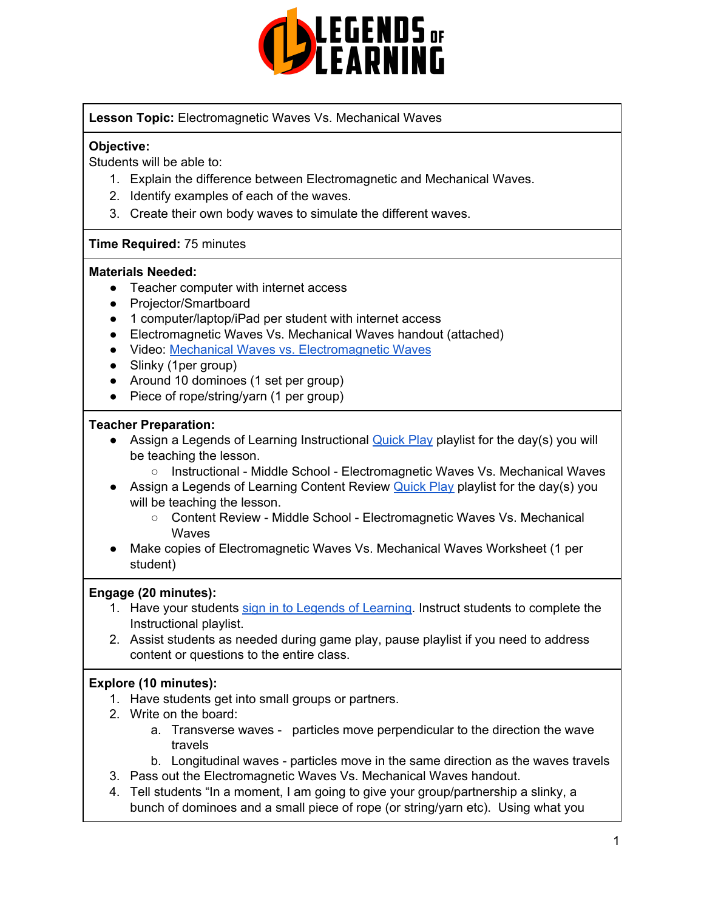

## **Lesson Topic:** Electromagnetic Waves Vs. Mechanical Waves

## **Objective:**

Students will be able to:

- 1. Explain the difference between Electromagnetic and Mechanical Waves.
- 2. Identify examples of each of the waves.
- 3. Create their own body waves to simulate the different waves.

#### **Time Required:** 75 minutes

#### **Materials Needed:**

- Teacher computer with internet access
- Projector/Smartboard
- 1 computer/laptop/iPad per student with internet access
- Electromagnetic Waves Vs. Mechanical Waves handout (attached)
- Video: Mechanical Waves vs. [Electromagnetic](https://www.youtube.com/watch?v=JPjXRvZIv-4) Waves
- Slinky (1per group)
- Around 10 dominoes (1 set per group)
- Piece of rope/string/yarn (1 per group)

## **Teacher Preparation:**

- Assign a Legends of Learning Instructional [Quick](https://intercom.help/legends-of-learning/en/articles/2701866-assigning-a-quick-play-playlist) Play playlist for the day(s) you will be teaching the lesson.
	- Instructional Middle School Electromagnetic Waves Vs. Mechanical Waves
- Assign a Legends of Learning Content Review [Quick](https://intercom.help/legends-of-learning/en/articles/2701866-assigning-a-quick-play-playlist) Play playlist for the day(s) you will be teaching the lesson.
	- Content Review Middle School Electromagnetic Waves Vs. Mechanical **Waves**
- Make copies of Electromagnetic Waves Vs. Mechanical Waves Worksheet (1 per student)

#### **Engage (20 minutes):**

- 1. Have your students sign in to Legends of [Learning](https://intercom.help/legends-of-learning/en/articles/2154920-students-joining-a-playlist). Instruct students to complete the Instructional playlist.
- 2. Assist students as needed during game play, pause playlist if you need to address content or questions to the entire class.

# **Explore (10 minutes):**

- 1. Have students get into small groups or partners.
- 2. Write on the board:
	- a. Transverse waves particles move perpendicular to the direction the wave travels
	- b. Longitudinal waves particles move in the same direction as the waves travels
- 3. Pass out the Electromagnetic Waves Vs. Mechanical Waves handout.
- 4. Tell students "In a moment, I am going to give your group/partnership a slinky, a bunch of dominoes and a small piece of rope (or string/yarn etc). Using what you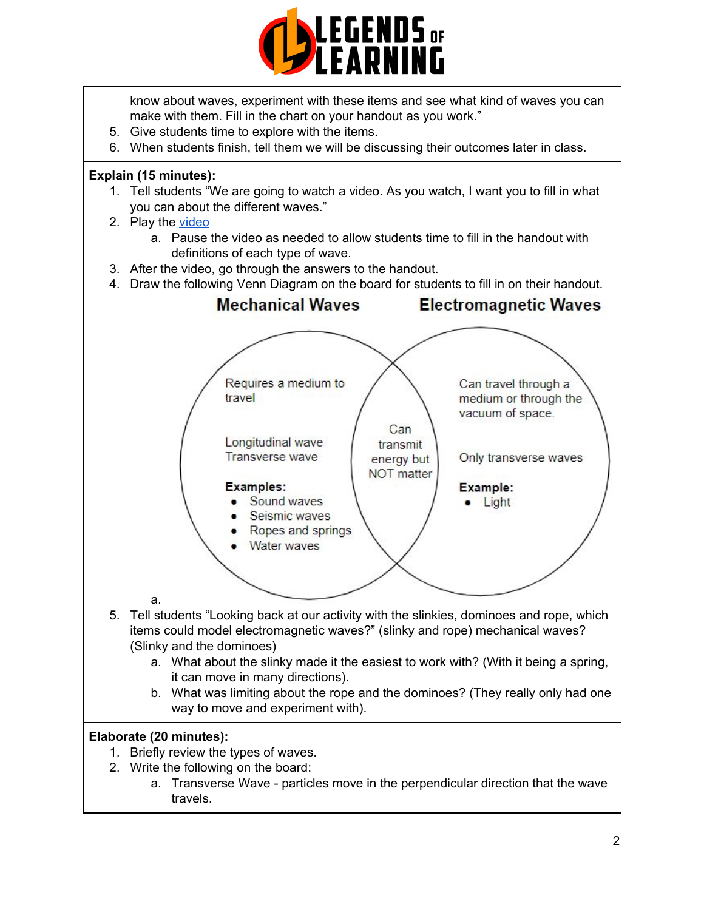

know about waves, experiment with these items and see what kind of waves you can make with them. Fill in the chart on your handout as you work."

- 5. Give students time to explore with the items.
- 6. When students finish, tell them we will be discussing their outcomes later in class.

## **Explain (15 minutes):**

- 1. Tell students "We are going to watch a video. As you watch, I want you to fill in what you can about the different waves."
- 2. Play the [video](https://www.youtube.com/watch?v=JPjXRvZIv-4)
	- a. Pause the video as needed to allow students time to fill in the handout with definitions of each type of wave.
- 3. After the video, go through the answers to the handout.
- 4. Draw the following Venn Diagram on the board for students to fill in on their handout.



# **Elaborate (20 minutes):**

- 1. Briefly review the types of waves.
- 2. Write the following on the board:
	- a. Transverse Wave particles move in the perpendicular direction that the wave travels.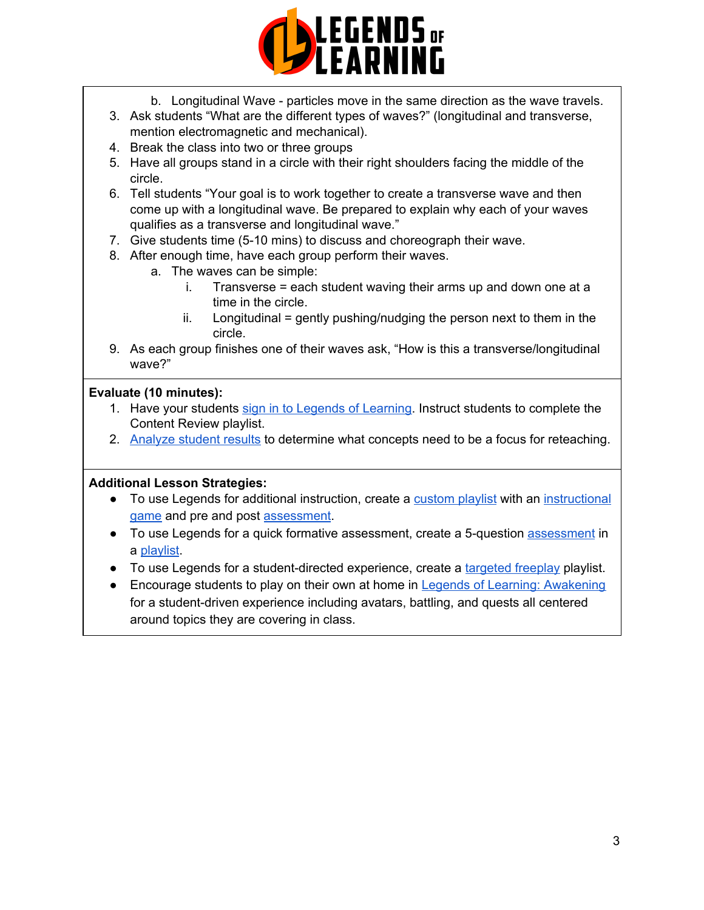

- b. Longitudinal Wave particles move in the same direction as the wave travels.
- 3. Ask students "What are the different types of waves?" (longitudinal and transverse, mention electromagnetic and mechanical).
- 4. Break the class into two or three groups
- 5. Have all groups stand in a circle with their right shoulders facing the middle of the circle.
- 6. Tell students "Your goal is to work together to create a transverse wave and then come up with a longitudinal wave. Be prepared to explain why each of your waves qualifies as a transverse and longitudinal wave."
- 7. Give students time (5-10 mins) to discuss and choreograph their wave.
- 8. After enough time, have each group perform their waves.
	- a. The waves can be simple:
		- i. Transverse = each student waving their arms up and down one at a time in the circle.
		- $ii.$  Longitudinal = gently pushing/nudging the person next to them in the circle.
- 9. As each group finishes one of their waves ask, "How is this a transverse/longitudinal wave?"

# **Evaluate (10 minutes):**

- 1. Have your students sign in to Legends of [Learning](https://intercom.help/legends-of-learning/en/articles/2154920-students-joining-a-playlist). Instruct students to complete the Content Review playlist.
- 2. [Analyze](https://intercom.help/legends-of-learning/en/articles/2154918-tracking-student-progress-and-performance) student results to determine what concepts need to be a focus for reteaching.

#### **Additional Lesson Strategies:**

- To use Legends for additional instruction, create a [custom](https://intercom.help/legends-of-learning/en/articles/2154910-creating-a-playlist) playlist with an [instructional](https://intercom.help/legends-of-learning/en/articles/3505828-types-of-games) [game](https://intercom.help/legends-of-learning/en/articles/3505828-types-of-games) and pre and post [assessment](https://intercom.help/legends-of-learning/en/articles/2154913-adding-assessments-to-a-playlist).
- To use Legends for a quick formative [assessment](https://intercom.help/legends-of-learning/en/articles/2154913-adding-assessments-to-a-playlist), create a 5-question assessment in a [playlist](https://intercom.help/legends-of-learning/en/articles/2154910-creating-a-playlist).
- To use Legends for a student-directed experience, create a [targeted](https://intercom.help/legends-of-learning/en/articles/3340814-targeted-freeplay) freeplay playlist.
- Encourage students to play on their own at home in Legends of Learning: [Awakening](https://intercom.help/legends-of-learning/en/articles/2425490-legends-of-learning-awakening) for a student-driven experience including avatars, battling, and quests all centered around topics they are covering in class.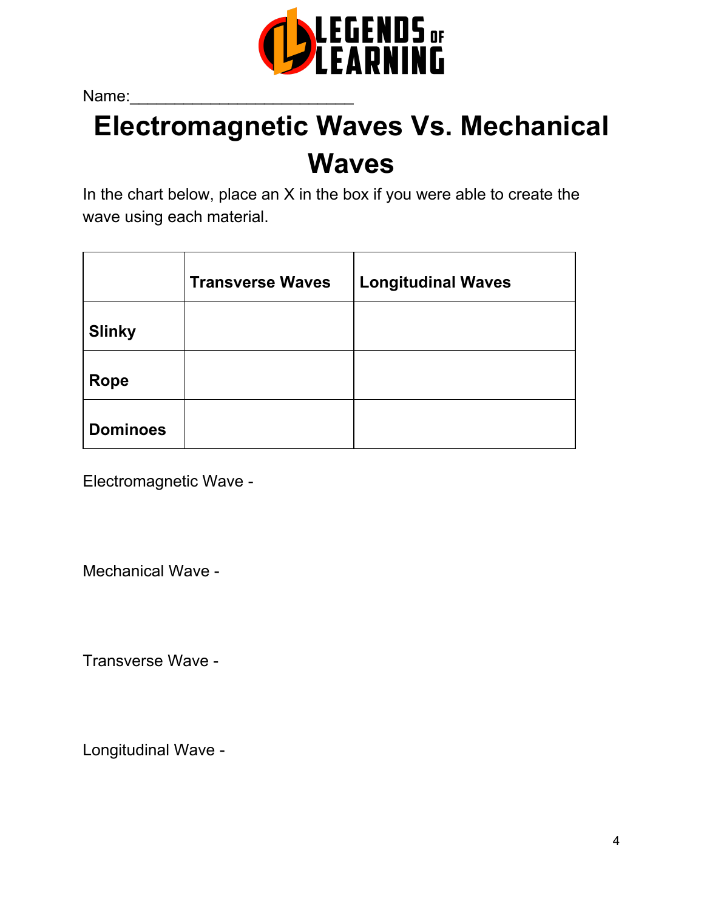

Name:

# **Electromagnetic Waves Vs. Mechanical Waves**

In the chart below, place an X in the box if you were able to create the wave using each material.

|                 | <b>Transverse Waves</b> | <b>Longitudinal Waves</b> |
|-----------------|-------------------------|---------------------------|
| <b>Slinky</b>   |                         |                           |
| <b>Rope</b>     |                         |                           |
| <b>Dominoes</b> |                         |                           |

Electromagnetic Wave -

Mechanical Wave -

Transverse Wave -

Longitudinal Wave -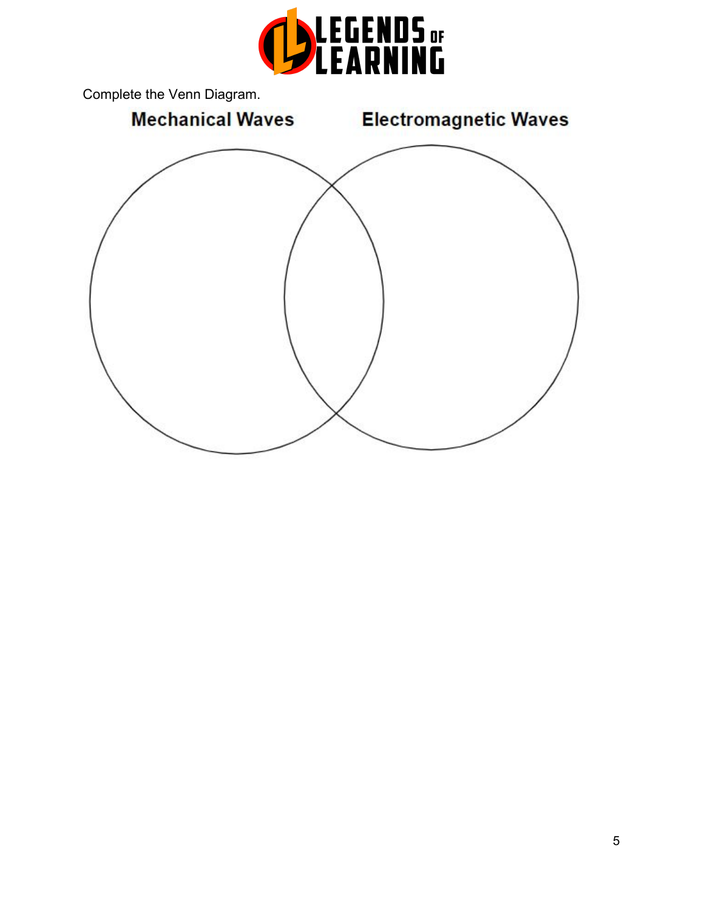

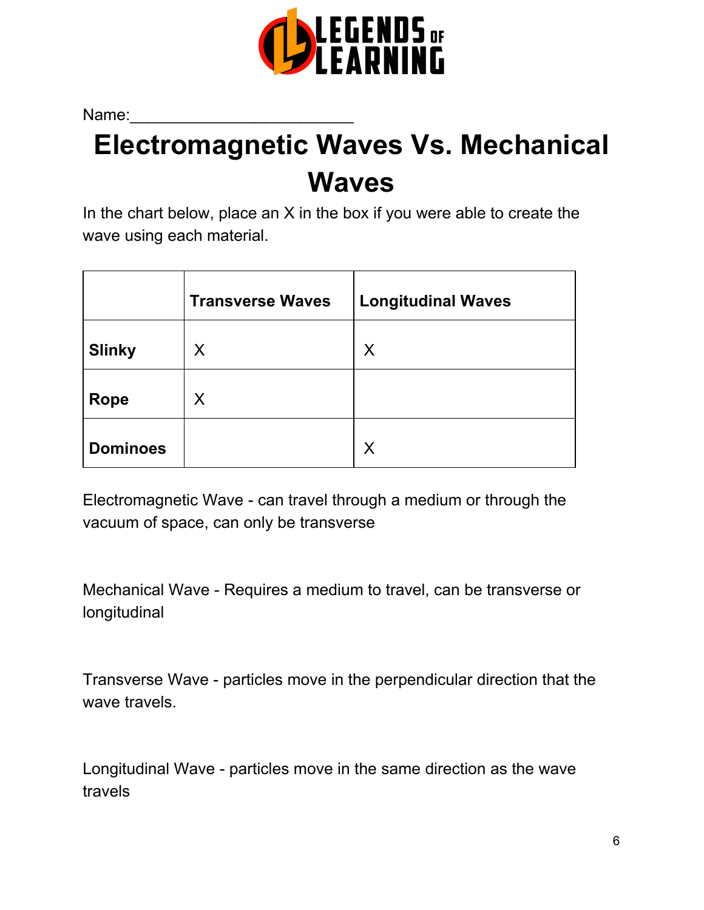

Name:

# **Electromagnetic Waves Vs. Mechanical Waves**

In the chart below, place an  $X$  in the box if you were able to create the wave using each material.

|                 | <b>Transverse Waves</b> | <b>Longitudinal Waves</b> |
|-----------------|-------------------------|---------------------------|
| <b>Slinky</b>   | X                       | X                         |
| <b>Rope</b>     | X                       |                           |
| <b>Dominoes</b> |                         | X                         |

Electromagnetic Wave - can travel through a medium or through the vacuum of space, can only be transverse

Mechanical Wave - Requires a medium to travel, can be transverse or longitudinal

Transverse Wave - particles move in the perpendicular direction that the wave travels.

Longitudinal Wave - particles move in the same direction as the wave travels